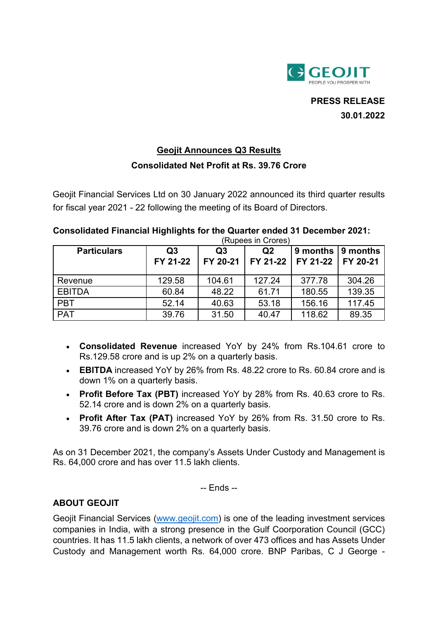

**PRESS RELEASE 30.01.2022**

## **Geojit Announces Q3 Results Consolidated Net Profit at Rs. 39.76 Crore**

Geojit Financial Services Ltd on 30 January 2022 announced its third quarter results for fiscal year 2021 - 22 following the meeting of its Board of Directors.

## **Consolidated Financial Highlights for the Quarter ended 31 December 2021:**

|                    | (Rupees in Crores)         |                            |                            |                      |                      |
|--------------------|----------------------------|----------------------------|----------------------------|----------------------|----------------------|
| <b>Particulars</b> | Q <sub>3</sub><br>FY 21-22 | Q <sub>3</sub><br>FY 20-21 | Q <sub>2</sub><br>FY 21-22 | 9 months<br>FY 21-22 | 9 months<br>FY 20-21 |
| Revenue            | 129.58                     | 104.61                     | 127.24                     | 377.78               | 304.26               |
| <b>EBITDA</b>      | 60.84                      | 48.22                      | 61.71                      | 180.55               | 139.35               |
| <b>PBT</b>         | 52.14                      | 40.63                      | 53.18                      | 156.16               | 117.45               |
| <b>PAT</b>         | 39.76                      | 31.50                      | 40.47                      | 118.62               | 89.35                |

- **Consolidated Revenue** increased YoY by 24% from Rs.104.61 crore to Rs.129.58 crore and is up 2% on a quarterly basis.
- **EBITDA** increased YoY by 26% from Rs. 48.22 crore to Rs. 60.84 crore and is down 1% on a quarterly basis.
- **Profit Before Tax (PBT)** increased YoY by 28% from Rs. 40.63 crore to Rs. 52.14 crore and is down 2% on a quarterly basis.
- **Profit After Tax (PAT)** increased YoY by 26% from Rs. 31.50 crore to Rs. 39.76 crore and is down 2% on a quarterly basis.

As on 31 December 2021, the company's Assets Under Custody and Management is Rs. 64,000 crore and has over 11.5 lakh clients.

-- Ends --

## **ABOUT GEOJIT**

Geojit Financial Services [\(www.geojit.com\)](http://www.geojit.com/) is one of the leading investment services companies in India, with a strong presence in the Gulf Coorporation Council (GCC) countries. It has 11.5 lakh clients, a network of over 473 offices and has Assets Under Custody and Management worth Rs. 64,000 crore. BNP Paribas, C J George -